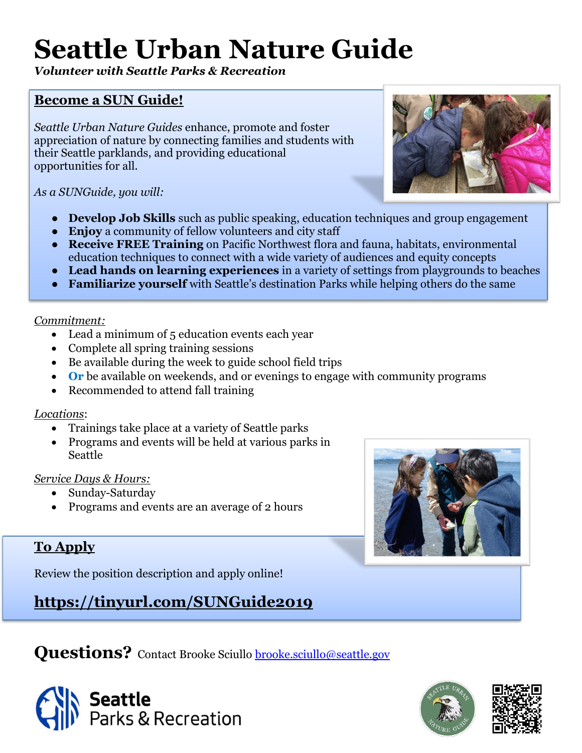# **Seattle Urban Nature Guide**

*Volunteer with Seattle Parks & Recreation*

# **Become a SUN Guide!**

*Seattle Urban Nature Guides* enhance, promote and foster appreciation of nature by connecting families and students with their Seattle parklands, and providing educational opportunities for all.

*As a SUNGuide, you will:*

- **Develop Job Skills** such as public speaking, education techniques and group engagement
- **Enjoy** a community of fellow volunteers and city staff
- **Receive FREE Training** on Pacific Northwest flora and fauna, habitats, environmental education techniques to connect with a wide variety of audiences and equity concepts
- **Lead hands on learning experiences** in a variety of settings from playgrounds to beaches
- **Familiarize yourself** with Seattle's destination Parks while helping others do the same

*Commitment:*

- Lead a minimum of 5 education events each year
- Complete all spring training sessions
- Be available during the week to guide school field trips
- **Or** be available on weekends, and or evenings to engage with community programs
- Recommended to attend fall training

#### *Locations*:

- Trainings take place at a variety of Seattle parks
- Programs and events will be held at various parks in Seattle

#### *Service Days & Hours:*

- Sunday-Saturday
- Programs and events are an average of 2 hours

# **To Apply**

Review the position description and apply online!

**<https://tinyurl.com/SUNGuide2019>**

**Questions?** Contact Brooke Sciullo **brooke.sciullo@seattle.gov**